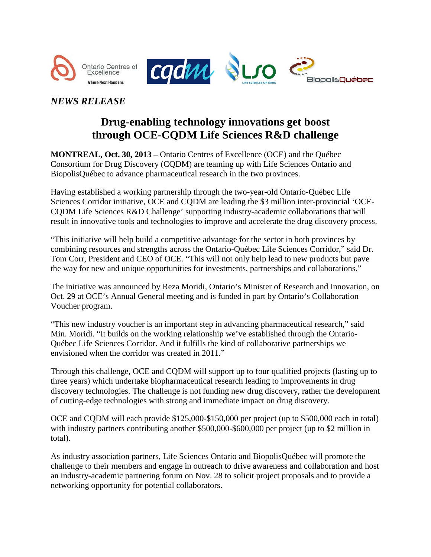







## *NEWS RELEASE*

# **Drug-enabling technology innovations get boost through OCE-CQDM Life Sciences R&D challenge**

**MONTREAL, Oct. 30, 2013 –** Ontario Centres of Excellence (OCE) and the Québec Consortium for Drug Discovery (CQDM) are teaming up with Life Sciences Ontario and BiopolisQuébec to advance pharmaceutical research in the two provinces.

Having established a working partnership through the two-year-old Ontario-Québec Life Sciences Corridor initiative, OCE and CQDM are leading the \$3 million inter-provincial 'OCE-CQDM Life Sciences R&D Challenge' supporting industry-academic collaborations that will result in innovative tools and technologies to improve and accelerate the drug discovery process.

"This initiative will help build a competitive advantage for the sector in both provinces by combining resources and strengths across the Ontario-Québec Life Sciences Corridor," said Dr. Tom Corr, President and CEO of OCE. "This will not only help lead to new products but pave the way for new and unique opportunities for investments, partnerships and collaborations."

The initiative was announced by Reza Moridi, Ontario's Minister of Research and Innovation, on Oct. 29 at OCE's Annual General meeting and is funded in part by Ontario's Collaboration Voucher program.

"This new industry voucher is an important step in advancing pharmaceutical research," said Min. Moridi. "It builds on the working relationship we've established through the Ontario-Québec Life Sciences Corridor. And it fulfills the kind of collaborative partnerships we envisioned when the corridor was created in 2011."

Through this challenge, OCE and CQDM will support up to four qualified projects (lasting up to three years) which undertake biopharmaceutical research leading to improvements in drug discovery technologies. The challenge is not funding new drug discovery, rather the development of cutting-edge technologies with strong and immediate impact on drug discovery.

OCE and CQDM will each provide \$125,000-\$150,000 per project (up to \$500,000 each in total) with industry partners contributing another \$500,000-\$600,000 per project (up to \$2 million in total).

As industry association partners, Life Sciences Ontario and BiopolisQuébec will promote the challenge to their members and engage in outreach to drive awareness and collaboration and host an industry-academic partnering forum on Nov. 28 to solicit project proposals and to provide a networking opportunity for potential collaborators.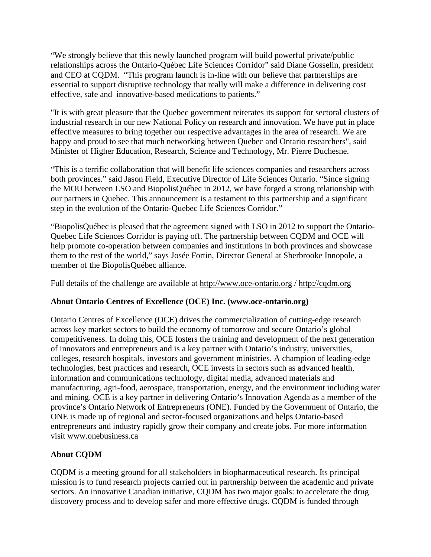"We strongly believe that this newly launched program will build powerful private/public relationships across the Ontario-Québec Life Sciences Corridor" said Diane Gosselin, president and CEO at CQDM. "This program launch is in-line with our believe that partnerships are essential to support disruptive technology that really will make a difference in delivering cost effective, safe and innovative-based medications to patients."

"It is with great pleasure that the Quebec government reiterates its support for sectoral clusters of industrial research in our new National Policy on research and innovation. We have put in place effective measures to bring together our respective advantages in the area of research. We are happy and proud to see that much networking between Quebec and Ontario researchers", said Minister of Higher Education, Research, Science and Technology, Mr. Pierre Duchesne.

"This is a terrific collaboration that will benefit life sciences companies and researchers across both provinces." said Jason Field, Executive Director of Life Sciences Ontario. "Since signing the MOU between LSO and BiopolisQuébec in 2012, we have forged a strong relationship with our partners in Quebec. This announcement is a testament to this partnership and a significant step in the evolution of the Ontario-Quebec Life Sciences Corridor."

"BiopolisQuébec is pleased that the agreement signed with LSO in 2012 to support the Ontario-Quebec Life Sciences Corridor is paying off. The partnership between CQDM and OCE will help promote co-operation between companies and institutions in both provinces and showcase them to the rest of the world," says Josée Fortin, Director General at Sherbrooke Innopole, a member of the BiopolisQuébec alliance.

Full details of the challenge are available at [http://www.oce-ontario.org](http://www.oce-ontario.org/programs/collaboration-voucher-program/VIA/cqdm) / [http://cqdm.org](http://cqdm.org/en/competition-funding/quebec-ontario-information.php)

## **About Ontario Centres of Excellence (OCE) Inc. (www.oce-ontario.org)**

Ontario Centres of Excellence (OCE) drives the commercialization of cutting-edge research across key market sectors to build the economy of tomorrow and secure Ontario's global competitiveness. In doing this, OCE fosters the training and development of the next generation of innovators and entrepreneurs and is a key partner with Ontario's industry, universities, colleges, research hospitals, investors and government ministries. A champion of leading-edge technologies, best practices and research, OCE invests in sectors such as advanced health, information and communications technology, digital media, advanced materials and manufacturing, agri-food, aerospace, transportation, energy, and the environment including water and mining. OCE is a key partner in delivering Ontario's Innovation Agenda as a member of the province's Ontario Network of Entrepreneurs (ONE). Funded by the Government of Ontario, the ONE is made up of regional and sector-focused organizations and helps Ontario-based entrepreneurs and industry rapidly grow their company and create jobs. For more information visit [www.onebusiness.ca](http://www.onebusiness.ca/)

## **About CQDM**

CQDM is a meeting ground for all stakeholders in biopharmaceutical research. Its principal mission is to fund research projects carried out in partnership between the academic and private sectors. An innovative Canadian initiative, CQDM has two major goals: to accelerate the drug discovery process and to develop safer and more effective drugs. CQDM is funded through